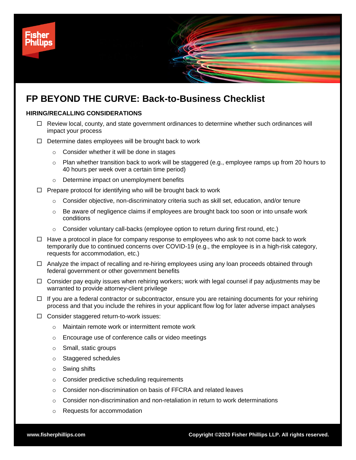

# **HIRING/RECALLING CONSIDERATIONS**

- $\Box$  Review local, county, and state government ordinances to determine whether such ordinances will impact your process
- $\Box$  Determine dates employees will be brought back to work
	- o Consider whether it will be done in stages
	- $\circ$  Plan whether transition back to work will be staggered (e.g., employee ramps up from 20 hours to 40 hours per week over a certain time period)
	- o Determine impact on unemployment benefits
- $\Box$  Prepare protocol for identifying who will be brought back to work
	- $\circ$  Consider objective, non-discriminatory criteria such as skill set, education, and/or tenure
	- $\circ$  Be aware of negligence claims if employees are brought back too soon or into unsafe work conditions
	- $\circ$  Consider voluntary call-backs (employee option to return during first round, etc.)
- $\Box$  Have a protocol in place for company response to employees who ask to not come back to work temporarily due to continued concerns over COVID-19 (e.g., the employee is in a high-risk category, requests for accommodation, etc.)
- $\Box$  Analyze the impact of recalling and re-hiring employees using any loan proceeds obtained through federal government or other government benefits
- $\Box$  Consider pay equity issues when rehiring workers; work with legal counsel if pay adjustments may be warranted to provide attorney-client privilege
- $\Box$  If you are a federal contractor or subcontractor, ensure you are retaining documents for your rehiring process and that you include the rehires in your applicant flow log for later adverse impact analyses
- □ Consider staggered return-to-work issues:
	- o Maintain remote work or intermittent remote work
	- o Encourage use of conference calls or video meetings
	- o Small, static groups
	- o Staggered schedules
	- o Swing shifts
	- o Consider predictive scheduling requirements
	- o Consider non-discrimination on basis of FFCRA and related leaves
	- $\circ$  Consider non-discrimination and non-retaliation in return to work determinations
	- o Requests for accommodation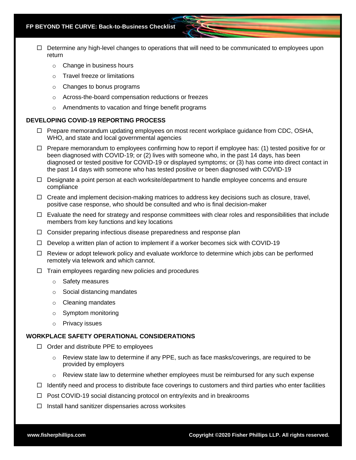- $\Box$  Determine any high-level changes to operations that will need to be communicated to employees upon return
	- o Change in business hours
	- o Travel freeze or limitations
	- o Changes to bonus programs
	- o Across-the-board compensation reductions or freezes
	- o Amendments to vacation and fringe benefit programs

#### **DEVELOPING COVID-19 REPORTING PROCESS**

- $\Box$  Prepare memorandum updating employees on most recent workplace guidance from CDC, OSHA, WHO, and state and local governmental agencies
- $\Box$  Prepare memorandum to employees confirming how to report if employee has: (1) tested positive for or been diagnosed with COVID-19; or (2) lives with someone who, in the past 14 days, has been diagnosed or tested positive for COVID-19 or displayed symptoms; or (3) has come into direct contact in the past 14 days with someone who has tested positive or been diagnosed with COVID-19
- $\Box$  Designate a point person at each worksite/department to handle employee concerns and ensure compliance
- $\Box$  Create and implement decision-making matrices to address key decisions such as closure, travel, positive case response, who should be consulted and who is final decision-maker
- $\Box$  Evaluate the need for strategy and response committees with clear roles and responsibilities that include members from key functions and key locations
- $\Box$  Consider preparing infectious disease preparedness and response plan
- $\Box$  Develop a written plan of action to implement if a worker becomes sick with COVID-19
- $\Box$  Review or adopt telework policy and evaluate workforce to determine which jobs can be performed remotely via telework and which cannot.
- $\Box$  Train employees regarding new policies and procedures
	- o Safety measures
	- o Social distancing mandates
	- o Cleaning mandates
	- o Symptom monitoring
	- o Privacy issues

### **WORKPLACE SAFETY OPERATIONAL CONSIDERATIONS**

- $\Box$  Order and distribute PPE to employees
	- $\circ$  Review state law to determine if any PPE, such as face masks/coverings, are required to be provided by employers
	- $\circ$  Review state law to determine whether employees must be reimbursed for any such expense
- $\Box$  Identify need and process to distribute face coverings to customers and third parties who enter facilities
- $\Box$  Post COVID-19 social distancing protocol on entry/exits and in breakrooms
- $\Box$  Install hand sanitizer dispensaries across worksites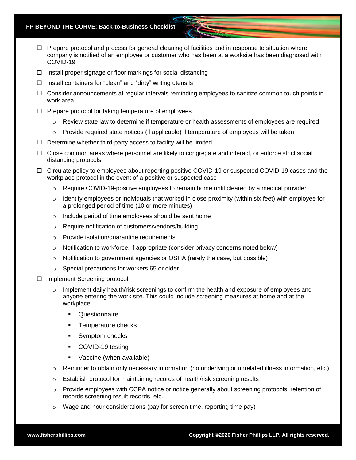- $\Box$  Prepare protocol and process for general cleaning of facilities and in response to situation where company is notified of an employee or customer who has been at a worksite has been diagnosed with COVID-19
- $\Box$  Install proper signage or floor markings for social distancing
- $\Box$  Install containers for "clean" and "dirty" writing utensils
- $\Box$  Consider announcements at regular intervals reminding employees to sanitize common touch points in work area
- $\Box$  Prepare protocol for taking temperature of employees
	- $\circ$  Review state law to determine if temperature or health assessments of employees are required
	- $\circ$  Provide required state notices (if applicable) if temperature of employees will be taken
- $\Box$  Determine whether third-party access to facility will be limited
- $\Box$  Close common areas where personnel are likely to congregate and interact, or enforce strict social distancing protocols
- $\Box$  Circulate policy to employees about reporting positive COVID-19 or suspected COVID-19 cases and the workplace protocol in the event of a positive or suspected case
	- Require COVID-19-positive employees to remain home until cleared by a medical provider
	- $\circ$  Identify employees or individuals that worked in close proximity (within six feet) with employee for a prolonged period of time (10 or more minutes)
	- o Include period of time employees should be sent home
	- o Require notification of customers/vendors/building
	- o Provide isolation/quarantine requirements
	- $\circ$  Notification to workforce, if appropriate (consider privacy concerns noted below)
	- o Notification to government agencies or OSHA (rarely the case, but possible)
	- o Special precautions for workers 65 or older
- $\Box$  Implement Screening protocol
	- $\circ$  Implement daily health/risk screenings to confirm the health and exposure of employees and anyone entering the work site. This could include screening measures at home and at the workplace
		- **Questionnaire**
		- Temperature checks
		- Symptom checks
		- COVID-19 testing
		- Vaccine (when available)
	- $\circ$  Reminder to obtain only necessary information (no underlying or unrelated illness information, etc.)
	- $\circ$  Establish protocol for maintaining records of health/risk screening results
	- o Provide employees with CCPA notice or notice generally about screening protocols, retention of records screening result records, etc.
	- $\circ$  Wage and hour considerations (pay for screen time, reporting time pay)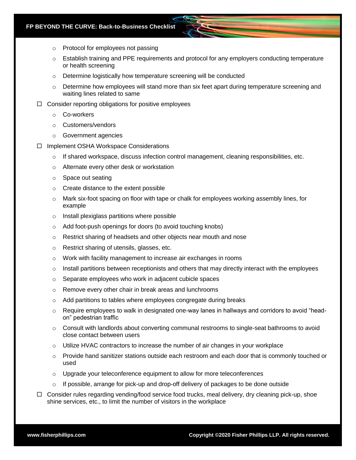- o Protocol for employees not passing
- $\circ$  Establish training and PPE requirements and protocol for any employers conducting temperature or health screening
- o Determine logistically how temperature screening will be conducted
- $\circ$  Determine how employees will stand more than six feet apart during temperature screening and waiting lines related to same
- $\Box$  Consider reporting obligations for positive employees
	- o Co-workers
	- o Customers/vendors
	- o Government agencies
- Implement OSHA Workspace Considerations
	- $\circ$  If shared workspace, discuss infection control management, cleaning responsibilities, etc.
	- o Alternate every other desk or workstation
	- o Space out seating
	- o Create distance to the extent possible
	- $\circ$  Mark six-foot spacing on floor with tape or chalk for employees working assembly lines, for example
	- o Install plexiglass partitions where possible
	- o Add foot-push openings for doors (to avoid touching knobs)
	- o Restrict sharing of headsets and other objects near mouth and nose
	- o Restrict sharing of utensils, glasses, etc.
	- o Work with facility management to increase air exchanges in rooms
	- $\circ$  Install partitions between receptionists and others that may directly interact with the employees
	- o Separate employees who work in adjacent cubicle spaces
	- o Remove every other chair in break areas and lunchrooms
	- o Add partitions to tables where employees congregate during breaks
	- Require employees to walk in designated one-way lanes in hallways and corridors to avoid "headon" pedestrian traffic
	- $\circ$  Consult with landlords about converting communal restrooms to single-seat bathrooms to avoid close contact between users
	- $\circ$  Utilize HVAC contractors to increase the number of air changes in your workplace
	- $\circ$  Provide hand sanitizer stations outside each restroom and each door that is commonly touched or used
	- o Upgrade your teleconference equipment to allow for more teleconferences
	- If possible, arrange for pick-up and drop-off delivery of packages to be done outside
- $\Box$  Consider rules regarding vending/food service food trucks, meal delivery, dry cleaning pick-up, shoe shine services, etc., to limit the number of visitors in the workplace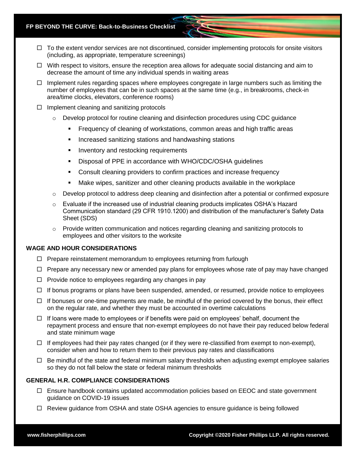- $\Box$  To the extent vendor services are not discontinued, consider implementing protocols for onsite visitors (including, as appropriate, temperature screenings)
- $\Box$  With respect to visitors, ensure the reception area allows for adequate social distancing and aim to decrease the amount of time any individual spends in waiting areas
- $\Box$  Implement rules regarding spaces where employees congregate in large numbers such as limiting the number of employees that can be in such spaces at the same time (e.g., in breakrooms, check-in area/time clocks, elevators, conference rooms)
- $\Box$  Implement cleaning and sanitizing protocols
	- $\circ$  Develop protocol for routine cleaning and disinfection procedures using CDC quidance
		- Frequency of cleaning of workstations, common areas and high traffic areas
		- Increased sanitizing stations and handwashing stations
		- **EXEDENT** Inventory and restocking requirements
		- Disposal of PPE in accordance with WHO/CDC/OSHA guidelines
		- Consult cleaning providers to confirm practices and increase frequency
		- **■** Make wipes, sanitizer and other cleaning products available in the workplace
	- $\circ$  Develop protocol to address deep cleaning and disinfection after a potential or confirmed exposure
	- o Evaluate if the increased use of industrial cleaning products implicates OSHA's Hazard Communication standard (29 CFR 1910.1200) and distribution of the manufacturer's Safety Data Sheet (SDS)
	- $\circ$  Provide written communication and notices regarding cleaning and sanitizing protocols to employees and other visitors to the worksite

#### **WAGE AND HOUR CONSIDERATIONS**

- $\Box$  Prepare reinstatement memorandum to employees returning from furlough
- $\Box$  Prepare any necessary new or amended pay plans for employees whose rate of pay may have changed
- $\Box$  Provide notice to employees regarding any changes in pay
- $\Box$  If bonus programs or plans have been suspended, amended, or resumed, provide notice to employees
- $\Box$  If bonuses or one-time payments are made, be mindful of the period covered by the bonus, their effect on the regular rate, and whether they must be accounted in overtime calculations
- $\Box$  If loans were made to employees or if benefits were paid on employees' behalf, document the repayment process and ensure that non-exempt employees do not have their pay reduced below federal and state minimum wage
- $\Box$  If employees had their pay rates changed (or if they were re-classified from exempt to non-exempt), consider when and how to return them to their previous pay rates and classifications
- $\Box$  Be mindful of the state and federal minimum salary thresholds when adjusting exempt employee salaries so they do not fall below the state or federal minimum thresholds

## **GENERAL H.R. COMPLIANCE CONSIDERATIONS**

- $\Box$  Ensure handbook contains updated accommodation policies based on EEOC and state government guidance on COVID-19 issues
- Review guidance from OSHA and state OSHA agencies to ensure guidance is being followed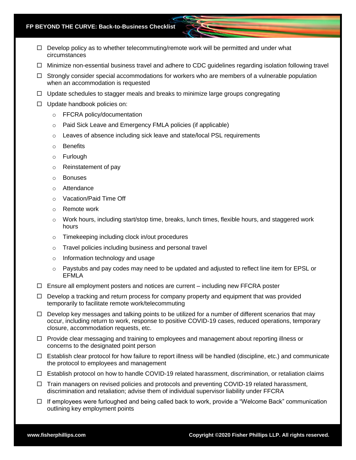- $\Box$  Develop policy as to whether telecommuting/remote work will be permitted and under what circumstances
- $\Box$  Minimize non-essential business travel and adhere to CDC quidelines regarding isolation following travel
- $\Box$  Strongly consider special accommodations for workers who are members of a vulnerable population when an accommodation is requested
- $\Box$  Update schedules to stagger meals and breaks to minimize large groups congregating
- $\Box$  Update handbook policies on:
	- o FFCRA policy/documentation
	- o Paid Sick Leave and Emergency FMLA policies (if applicable)
	- $\circ$  Leaves of absence including sick leave and state/local PSL requirements
	- o Benefits
	- o Furlough
	- o Reinstatement of pay
	- o Bonuses
	- o Attendance
	- o Vacation/Paid Time Off
	- o Remote work
	- $\circ$  Work hours, including start/stop time, breaks, lunch times, flexible hours, and staggered work hours
	- o Timekeeping including clock in/out procedures
	- o Travel policies including business and personal travel
	- o Information technology and usage
	- $\circ$  Paystubs and pay codes may need to be updated and adjusted to reflect line item for EPSL or EFMLA
- $\Box$  Ensure all employment posters and notices are current including new FFCRA poster
- $\Box$  Develop a tracking and return process for company property and equipment that was provided temporarily to facilitate remote work/telecommuting
- $\Box$  Develop key messages and talking points to be utilized for a number of different scenarios that may occur, including return to work, response to positive COVID-19 cases, reduced operations, temporary closure, accommodation requests, etc.
- $\Box$  Provide clear messaging and training to employees and management about reporting illness or concerns to the designated point person
- $\Box$  Establish clear protocol for how failure to report illness will be handled (discipline, etc.) and communicate the protocol to employees and management
- $\Box$  Establish protocol on how to handle COVID-19 related harassment, discrimination, or retaliation claims
- $\Box$  Train managers on revised policies and protocols and preventing COVID-19 related harassment, discrimination and retaliation; advise them of individual supervisor liability under FFCRA
- $\Box$  If employees were furloughed and being called back to work, provide a "Welcome Back" communication outlining key employment points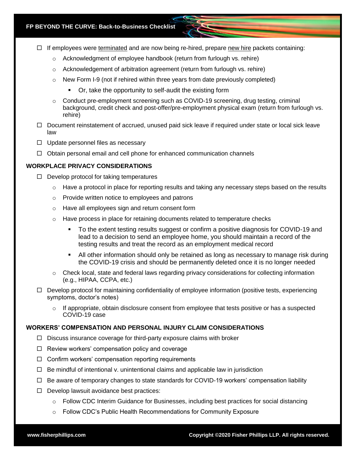- $\Box$  If employees were terminated and are now being re-hired, prepare new hire packets containing:
	- $\circ$  Acknowledgment of employee handbook (return from furlough vs. rehire)
	- $\circ$  Acknowledgement of arbitration agreement (return from furlough vs. rehire)
	- $\circ$  New Form I-9 (not if rehired within three years from date previously completed)
		- Or, take the opportunity to self-audit the existing form
	- $\circ$  Conduct pre-employment screening such as COVID-19 screening, drug testing, criminal background, credit check and post-offer/pre-employment physical exam (return from furlough vs. rehire)
- $\Box$  Document reinstatement of accrued, unused paid sick leave if required under state or local sick leave law
- $\Box$  Update personnel files as necessary
- $\Box$  Obtain personal email and cell phone for enhanced communication channels

# **WORKPLACE PRIVACY CONSIDERATIONS**

- $\Box$  Develop protocol for taking temperatures
	- $\circ$  Have a protocol in place for reporting results and taking any necessary steps based on the results
	- o Provide written notice to employees and patrons
	- o Have all employees sign and return consent form
	- $\circ$  Have process in place for retaining documents related to temperature checks
		- To the extent testing results suggest or confirm a positive diagnosis for COVID-19 and lead to a decision to send an employee home, you should maintain a record of the testing results and treat the record as an employment medical record
		- All other information should only be retained as long as necessary to manage risk during the COVID-19 crisis and should be permanently deleted once it is no longer needed
	- $\circ$  Check local, state and federal laws regarding privacy considerations for collecting information (e.g., HIPAA, CCPA, etc.)
- $\Box$  Develop protocol for maintaining confidentiality of employee information (positive tests, experiencing symptoms, doctor's notes)
	- $\circ$  If appropriate, obtain disclosure consent from employee that tests positive or has a suspected COVID-19 case

# **WORKERS' COMPENSATION AND PERSONAL INJURY CLAIM CONSIDERATIONS**

- $\Box$  Discuss insurance coverage for third-party exposure claims with broker
- $\Box$  Review workers' compensation policy and coverage
- $\Box$  Confirm workers' compensation reporting requirements
- $\Box$  Be mindful of intentional v. unintentional claims and applicable law in jurisdiction
- $\Box$  Be aware of temporary changes to state standards for COVID-19 workers' compensation liability
- $\Box$  Develop lawsuit avoidance best practices:
	- $\circ$  Follow CDC Interim Guidance for Businesses, including best practices for social distancing
	- o Follow CDC's Public Health Recommendations for Community Exposure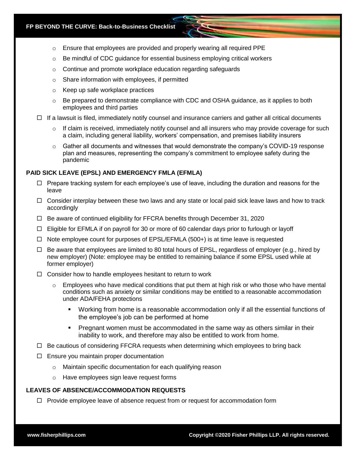- o Ensure that employees are provided and properly wearing all required PPE
- $\circ$  Be mindful of CDC quidance for essential business employing critical workers
- $\circ$  Continue and promote workplace education regarding safeguards
- o Share information with employees, if permitted
- o Keep up safe workplace practices
- $\circ$  Be prepared to demonstrate compliance with CDC and OSHA guidance, as it applies to both employees and third parties
- $\Box$  If a lawsuit is filed, immediately notify counsel and insurance carriers and gather all critical documents
	- $\circ$  If claim is received, immediately notify counsel and all insurers who may provide coverage for such a claim, including general liability, workers' compensation, and premises liability insurers
	- $\circ$  Gather all documents and witnesses that would demonstrate the company's COVID-19 response plan and measures, representing the company's commitment to employee safety during the pandemic

## **PAID SICK LEAVE (EPSL) AND EMERGENCY FMLA (EFMLA)**

- $\Box$  Prepare tracking system for each employee's use of leave, including the duration and reasons for the leave
- $\Box$  Consider interplay between these two laws and any state or local paid sick leave laws and how to track accordingly
- $\Box$  Be aware of continued eligibility for FFCRA benefits through December 31, 2020
- $\Box$  Eligible for EFMLA if on payroll for 30 or more of 60 calendar days prior to furlough or layoff
- $\Box$  Note employee count for purposes of EPSL/EFMLA (500+) is at time leave is requested
- $\Box$  Be aware that employees are limited to 80 total hours of EPSL, regardless of employer (e.g., hired by new employer) (Note: employee may be entitled to remaining balance if some EPSL used while at former employer)
- $\Box$  Consider how to handle employees hesitant to return to work
	- $\circ$  Employees who have medical conditions that put them at high risk or who those who have mental conditions such as anxiety or similar conditions may be entitled to a reasonable accommodation under ADA/FEHA protections
		- Working from home is a reasonable accommodation only if all the essential functions of the employee's job can be performed at home
		- **•** Pregnant women must be accommodated in the same way as others similar in their inability to work, and therefore may also be entitled to work from home.
- $\Box$  Be cautious of considering FFCRA requests when determining which employees to bring back
- $\Box$  Ensure you maintain proper documentation
	- o Maintain specific documentation for each qualifying reason
	- o Have employees sign leave request forms

# **LEAVES OF ABSENCE/ACCOMMODATION REQUESTS**

 $\Box$  Provide employee leave of absence request from or request for accommodation form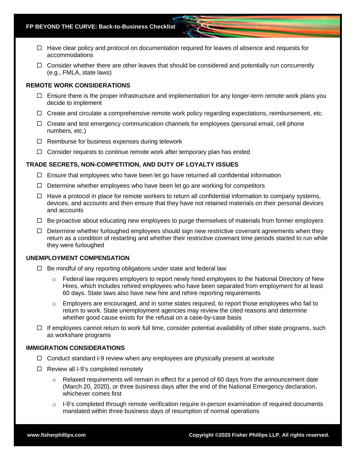- $\Box$  Have clear policy and protocol on documentation required for leaves of absence and requests for accommodations
- $\Box$  Consider whether there are other leaves that should be considered and potentially run concurrently (e.g., FMLA, state laws)

#### **REMOTE WORK CONSIDERATIONS**

- $\Box$  Ensure there is the proper infrastructure and implementation for any longer-term remote work plans you decide to implement
- $\Box$  Create and circulate a comprehensive remote work policy regarding expectations, reimbursement, etc.
- $\Box$  Create and test emergency communication channels for employees (personal email, cell phone numbers, etc.)
- $\Box$  Reimburse for business expenses during telework
- $\Box$  Consider requests to continue remote work after temporary plan has ended

## **TRADE SECRETS, NON-COMPETITION, AND DUTY OF LOYALTY ISSUES**

- $\Box$  Ensure that employees who have been let go have returned all confidential information
- $\Box$  Determine whether employees who have been let go are working for competitors
- $\Box$  Have a protocol in place for remote workers to return all confidential information to company systems, devices, and accounts and then ensure that they have not retained materials on their personal devices and accounts
- $\Box$  Be proactive about educating new employees to purge themselves of materials from former employers
- $\Box$  Determine whether furloughed employees should sign new restrictive covenant agreements when they return as a condition of restarting and whether their restrictive covenant time periods started to run while they were furloughed

### **UNEMPLOYMENT COMPENSATION**

- $\Box$  Be mindful of any reporting obligations under state and federal law
	- $\circ$  Federal law requires employers to report newly hired employees to the National Directory of New Hires, which includes rehired employees who have been separated from employment for at least 60 days. State laws also have new hire and rehire reporting requirements
	- $\circ$  Employers are encouraged, and in some states required, to report those employees who fail to return to work. State unemployment agencies may review the cited reasons and determine whether good cause exists for the refusal on a case-by-case basis
- $\Box$  If employees cannot return to work full time, consider potential availability of other state programs, such as workshare programs

## **IMMIGRATION CONSIDERATIONS**

- $\Box$  Conduct standard I-9 review when any employees are physically present at worksite
- $\Box$  Review all I-9's completed remotely
	- $\circ$  Relaxed requirements will remain in effect for a period of 60 days from the announcement date (March 20, 2020), or three business days after the end of the National Emergency declaration, whichever comes first
	- $\circ$  I-9's completed through remote verification require in-person examination of required documents mandated within three business days of resumption of normal operations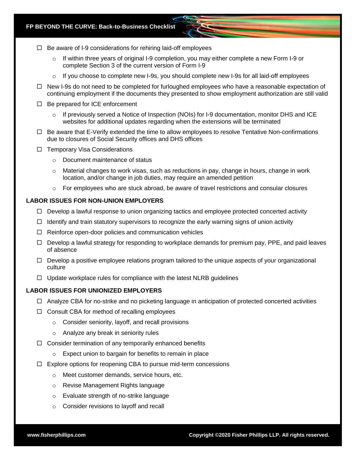- $\Box$  Be aware of I-9 considerations for rehiring laid-off employees
	- $\circ$  If within three years of original I-9 completion, you may either complete a new Form I-9 or complete Section 3 of the current version of Form I-9
	- $\circ$  If you choose to complete new I-9s, you should complete new I-9s for all laid-off employees
- □ New I-9s do not need to be completed for furloughed employees who have a reasonable expectation of continuing employment if the documents they presented to show employment authorization are still valid
- $\Box$  Be prepared for ICE enforcement
	- $\circ$  If previously served a Notice of Inspection (NOIs) for I-9 documentation, monitor DHS and ICE websites for additional updates regarding when the extensions will be terminated
- $\Box$  Be aware that E-Verify extended the time to allow employees to resolve Tentative Non-confirmations due to closures of Social Security offices and DHS offices
- $\Box$  Temporary Visa Considerations
	- o Document maintenance of status
	- $\circ$  Material changes to work visas, such as reductions in pay, change in hours, change in work location, and/or change in job duties, may require an amended petition
	- $\circ$  For employees who are stuck abroad, be aware of travel restrictions and consular closures

# **LABOR ISSUES FOR NON-UNION EMPLOYERS**

- $\Box$  Develop a lawful response to union organizing tactics and employee protected concerted activity
- $\Box$  Identify and train statutory supervisors to recognize the early warning signs of union activity
- $\Box$  Reinforce open-door policies and communication vehicles
- $\Box$  Develop a lawful strategy for responding to workplace demands for premium pay, PPE, and paid leaves of absence
- $\Box$  Develop a positive employee relations program tailored to the unique aspects of your organizational culture
- $\Box$  Update workplace rules for compliance with the latest NLRB guidelines

# **LABOR ISSUES FOR UNIONIZED EMPLOYERS**

- $\Box$  Analyze CBA for no-strike and no picketing language in anticipation of protected concerted activities
- $\Box$  Consult CBA for method of recalling employees
	- o Consider seniority, layoff, and recall provisions
	- o Analyze any break in seniority rules
- $\Box$  Consider termination of any temporarily enhanced benefits
	- o Expect union to bargain for benefits to remain in place
- $\Box$  Explore options for reopening CBA to pursue mid-term concessions
	- o Meet customer demands, service hours, etc.
	- o Revise Management Rights language
	- o Evaluate strength of no-strike language
	- o Consider revisions to layoff and recall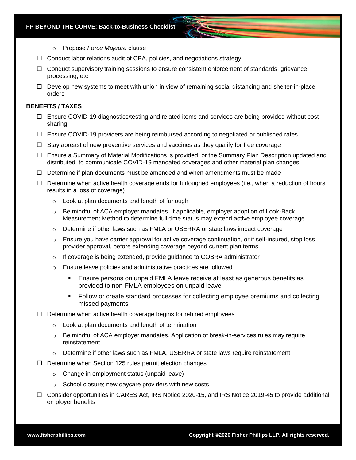- o Propose *Force Majeure* clause
- $\Box$  Conduct labor relations audit of CBA, policies, and negotiations strategy
- $\Box$  Conduct supervisory training sessions to ensure consistent enforcement of standards, grievance processing, etc.
- $\Box$  Develop new systems to meet with union in view of remaining social distancing and shelter-in-place orders

## **BENEFITS / TAXES**

- $\Box$  Ensure COVID-19 diagnostics/testing and related items and services are being provided without costsharing
- $\Box$  Ensure COVID-19 providers are being reimbursed according to negotiated or published rates
- $\Box$  Stay abreast of new preventive services and vaccines as they qualify for free coverage
- $\Box$  Ensure a Summary of Material Modifications is provided, or the Summary Plan Description updated and distributed, to communicate COVID-19 mandated coverages and other material plan changes
- $\Box$  Determine if plan documents must be amended and when amendments must be made
- $\Box$  Determine when active health coverage ends for furloughed employees (i.e., when a reduction of hours results in a loss of coverage)
	- o Look at plan documents and length of furlough
	- $\circ$  Be mindful of ACA employer mandates. If applicable, employer adoption of Look-Back Measurement Method to determine full-time status may extend active employee coverage
	- o Determine if other laws such as FMLA or USERRA or state laws impact coverage
	- $\circ$  Ensure you have carrier approval for active coverage continuation, or if self-insured, stop loss provider approval, before extending coverage beyond current plan terms
	- $\circ$  If coverage is being extended, provide guidance to COBRA administrator
	- o Ensure leave policies and administrative practices are followed
		- Ensure persons on unpaid FMLA leave receive at least as generous benefits as provided to non-FMLA employees on unpaid leave
		- Follow or create standard processes for collecting employee premiums and collecting missed payments
- $\Box$  Determine when active health coverage begins for rehired employees
	- o Look at plan documents and length of termination
	- $\circ$  Be mindful of ACA employer mandates. Application of break-in-services rules may require reinstatement
	- $\circ$  Determine if other laws such as FMLA, USERRA or state laws require reinstatement
- $\Box$  Determine when Section 125 rules permit election changes
	- o Change in employment status (unpaid leave)
	- o School closure; new daycare providers with new costs
- □ Consider opportunities in CARES Act, IRS Notice 2020-15, and IRS Notice 2019-45 to provide additional employer benefits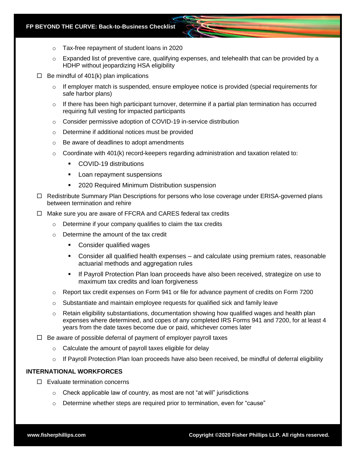- o Tax-free repayment of student loans in 2020
- $\circ$  Expanded list of preventive care, qualifying expenses, and telehealth that can be provided by a HDHP without jeopardizing HSA eligibility
- $\Box$  Be mindful of 401(k) plan implications
	- $\circ$  If employer match is suspended, ensure employee notice is provided (special requirements for safe harbor plans)
	- $\circ$  If there has been high participant turnover, determine if a partial plan termination has occurred requiring full vesting for impacted participants
	- o Consider permissive adoption of COVID-19 in-service distribution
	- o Determine if additional notices must be provided
	- o Be aware of deadlines to adopt amendments
	- $\circ$  Coordinate with 401(k) record-keepers regarding administration and taxation related to:
		- COVID-19 distributions
		- Loan repayment suspensions
		- 2020 Required Minimum Distribution suspension
- $\Box$  Redistribute Summary Plan Descriptions for persons who lose coverage under ERISA-governed plans between termination and rehire
- $\Box$  Make sure you are aware of FFCRA and CARES federal tax credits
	- o Determine if your company qualifies to claim the tax credits
	- o Determine the amount of the tax credit
		- Consider qualified wages
		- Consider all qualified health expenses and calculate using premium rates, reasonable actuarial methods and aggregation rules
		- **■** If Payroll Protection Plan loan proceeds have also been received, strategize on use to maximum tax credits and loan forgiveness
	- $\circ$  Report tax credit expenses on Form 941 or file for advance payment of credits on Form 7200
	- $\circ$  Substantiate and maintain employee requests for qualified sick and family leave
	- o Retain eligibility substantiations, documentation showing how qualified wages and health plan expenses where determined, and copes of any completed IRS Forms 941 and 7200, for at least 4 years from the date taxes become due or paid, whichever comes later
- $\Box$  Be aware of possible deferral of payment of employer payroll taxes
	- o Calculate the amount of payroll taxes eligible for delay
	- $\circ$  If Payroll Protection Plan loan proceeds have also been received, be mindful of deferral eligibility

## **INTERNATIONAL WORKFORCES**

- $\Box$  Evaluate termination concerns
	- o Check applicable law of country, as most are not "at will" jurisdictions
	- $\circ$  Determine whether steps are required prior to termination, even for "cause"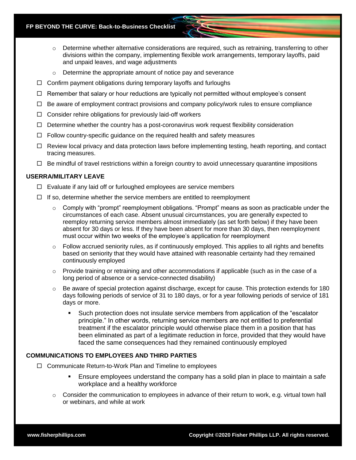- o Determine whether alternative considerations are required, such as retraining, transferring to other divisions within the company, implementing flexible work arrangements, temporary layoffs, paid and unpaid leaves, and wage adjustments
- o Determine the appropriate amount of notice pay and severance
- $\Box$  Confirm payment obligations during temporary layoffs and furloughs
- $\Box$  Remember that salary or hour reductions are typically not permitted without employee's consent
- $\Box$  Be aware of employment contract provisions and company policy/work rules to ensure compliance
- $\Box$  Consider rehire obligations for previously laid-off workers
- $\Box$  Determine whether the country has a post-coronavirus work request flexibility consideration
- $\Box$  Follow country-specific guidance on the required health and safety measures
- $\Box$  Review local privacy and data protection laws before implementing testing, heath reporting, and contact tracing measures.
- $\Box$  Be mindful of travel restrictions within a foreign country to avoid unnecessary quarantine impositions

# **USERRA/MILITARY LEAVE**

- $\Box$  Evaluate if any laid off or furloughed employees are service members
- $\Box$  If so, determine whether the service members are entitled to reemployment
	- $\circ$  Comply with "prompt" reemployment obligations. "Prompt" means as soon as practicable under the circumstances of each case. Absent unusual circumstances, you are generally expected to reemploy returning service members almost immediately (as set forth below) if they have been absent for 30 days or less. If they have been absent for more than 30 days, then reemployment must occur within two weeks of the employee's application for reemployment
	- o Follow accrued seniority rules, as if continuously employed. This applies to all rights and benefits based on seniority that they would have attained with reasonable certainty had they remained continuously employed
	- $\circ$  Provide training or retraining and other accommodations if applicable (such as in the case of a long period of absence or a service-connected disability)
	- $\circ$  Be aware of special protection against discharge, except for cause. This protection extends for 180 days following periods of service of 31 to 180 days, or for a year following periods of service of 181 days or more.
		- Such protection does not insulate service members from application of the "escalator principle." In other words, returning service members are not entitled to preferential treatment if the escalator principle would otherwise place them in a position that has been eliminated as part of a legitimate reduction in force, provided that they would have faced the same consequences had they remained continuously employed

# **COMMUNICATIONS TO EMPLOYEES AND THIRD PARTIES**

- $\Box$  Communicate Return-to-Work Plan and Timeline to employees
	- Ensure employees understand the company has a solid plan in place to maintain a safe workplace and a healthy workforce
	- $\circ$  Consider the communication to employees in advance of their return to work, e.g. virtual town hall or webinars, and while at work